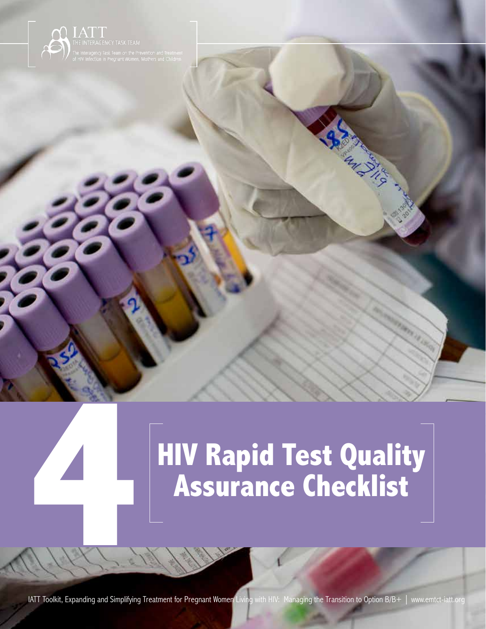

1444

# **HIV Rapid Test Quality Assurance Checklist**

HIV Rapid Test Quality Assurance Checklist

**4**

**IATT Toolkit, Expanding and Simplifying Treatment for <mark>Pregnant Wom</mark>en L**iving with HIV: Managing the Transition to Option B/B+ | www.emtct-iatt.org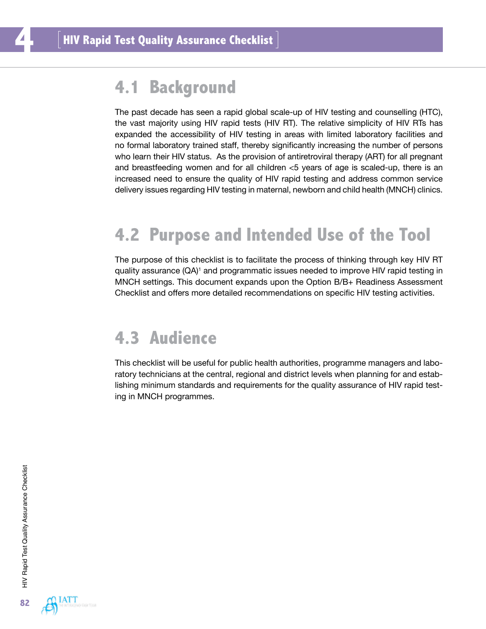### **4.1 Background**

The past decade has seen a rapid global scale-up of HIV testing and counselling (HTC), the vast majority using HIV rapid tests (HIV RT). The relative simplicity of HIV RTs has expanded the accessibility of HIV testing in areas with limited laboratory facilities and no formal laboratory trained staff, thereby significantly increasing the number of persons who learn their HIV status. As the provision of antiretroviral therapy (ART) for all pregnant and breastfeeding women and for all children <5 years of age is scaled-up, there is an increased need to ensure the quality of HIV rapid testing and address common service delivery issues regarding HIV testing in maternal, newborn and child health (MNCH) clinics.

## **4.2 Purpose and Intended Use of the Tool**

The purpose of this checklist is to facilitate the process of thinking through key HIV RT quality assurance (QA)<sup>1</sup> and programmatic issues needed to improve HIV rapid testing in MNCH settings. This document expands upon the Option B/B+ Readiness Assessment Checklist and offers more detailed recommendations on specific HIV testing activities.

#### **4.3 Audience**

This checklist will be useful for public health authorities, programme managers and laboratory technicians at the central, regional and district levels when planning for and establishing minimum standards and requirements for the quality assurance of HIV rapid testing in MNCH programmes.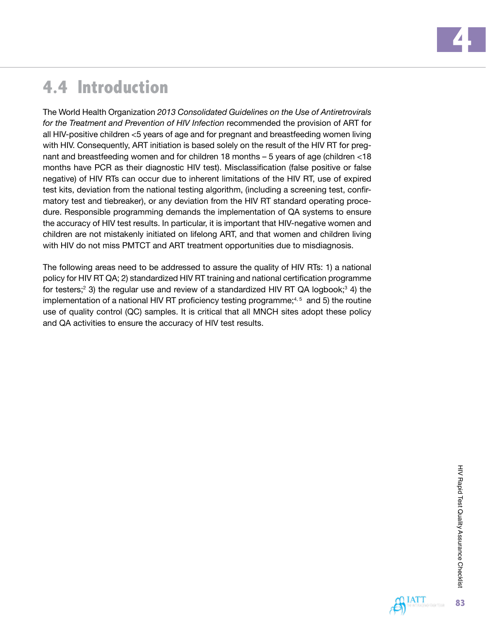## **4.4 Introduction**

The World Health Organization *2013 Consolidated Guidelines on the Use of Antiretrovirals for the Treatment and Prevention of HIV Infection* recommended the provision of ART for all HIV-positive children <5 years of age and for pregnant and breastfeeding women living with HIV. Consequently, ART initiation is based solely on the result of the HIV RT for pregnant and breastfeeding women and for children 18 months – 5 years of age (children <18 months have PCR as their diagnostic HIV test). Misclassification (false positive or false negative) of HIV RTs can occur due to inherent limitations of the HIV RT, use of expired test kits, deviation from the national testing algorithm, (including a screening test, confirmatory test and tiebreaker), or any deviation from the HIV RT standard operating procedure. Responsible programming demands the implementation of QA systems to ensure the accuracy of HIV test results. In particular, it is important that HIV-negative women and children are not mistakenly initiated on lifelong ART, and that women and children living with HIV do not miss PMTCT and ART treatment opportunities due to misdiagnosis.

The following areas need to be addressed to assure the quality of HIV RTs: 1) a national policy for HIV RT QA; 2) standardized HIV RT training and national certification programme for testers;<sup>2</sup> 3) the regular use and review of a standardized HIV RT QA logbook;<sup>3</sup> 4) the implementation of a national HIV RT proficiency testing programme; $4,5$  and 5) the routine use of quality control (QC) samples. It is critical that all MNCH sites adopt these policy and QA activities to ensure the accuracy of HIV test results.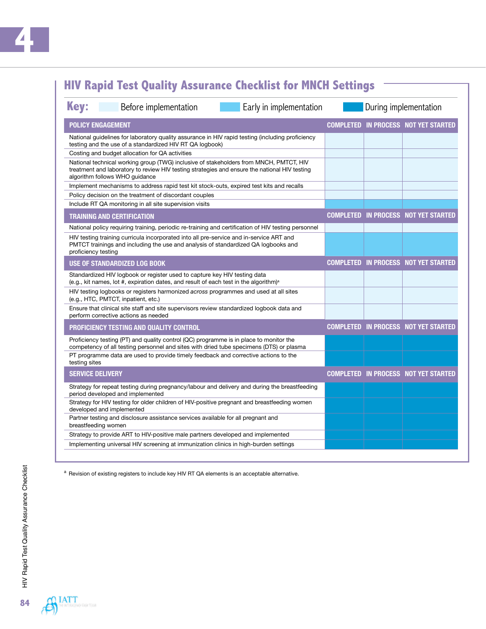#### **HIV Rapid Test Quality Assurance Checklist for MNCH Settings**

| <b>Key:</b><br>Before implementation<br>Early in implementation                                                                                                                                                           | During implementation |                                             |  |
|---------------------------------------------------------------------------------------------------------------------------------------------------------------------------------------------------------------------------|-----------------------|---------------------------------------------|--|
| <b>POLICY ENGAGEMENT</b>                                                                                                                                                                                                  |                       | <b>COMPLETED IN PROCESS NOT YET STARTED</b> |  |
| National guidelines for laboratory quality assurance in HIV rapid testing (including proficiency<br>testing and the use of a standardized HIV RT QA logbook)                                                              |                       |                                             |  |
| Costing and budget allocation for QA activities                                                                                                                                                                           |                       |                                             |  |
| National technical working group (TWG) inclusive of stakeholders from MNCH, PMTCT, HIV<br>treatment and laboratory to review HIV testing strategies and ensure the national HIV testing<br>algorithm follows WHO guidance |                       |                                             |  |
| Implement mechanisms to address rapid test kit stock-outs, expired test kits and recalls                                                                                                                                  |                       |                                             |  |
| Policy decision on the treatment of discordant couples                                                                                                                                                                    |                       |                                             |  |
| Include RT QA monitoring in all site supervision visits                                                                                                                                                                   |                       |                                             |  |
| <b>TRAINING AND CERTIFICATION</b>                                                                                                                                                                                         |                       | <b>COMPLETED IN PROCESS NOT YET STARTED</b> |  |
| National policy requiring training, periodic re-training and certification of HIV testing personnel                                                                                                                       |                       |                                             |  |
| HIV testing training curricula incorporated into all pre-service and in-service ART and<br>PMTCT trainings and including the use and analysis of standardized QA logbooks and<br>proficiency testing                      |                       |                                             |  |
| <b>USE OF STANDARDIZED LOG BOOK</b>                                                                                                                                                                                       |                       | <b>COMPLETED IN PROCESS NOT YET STARTED</b> |  |
| Standardized HIV logbook or register used to capture key HIV testing data<br>(e.g., kit names, lot #, expiration dates, and result of each test in the algorithm) <sup>a</sup>                                            |                       |                                             |  |
| HIV testing logbooks or registers harmonized across programmes and used at all sites<br>(e.g., HTC, PMTCT, inpatient, etc.)                                                                                               |                       |                                             |  |
| Ensure that clinical site staff and site supervisors review standardized logbook data and<br>perform corrective actions as needed                                                                                         |                       |                                             |  |
| PROFICIENCY TESTING AND QUALITY CONTROL                                                                                                                                                                                   |                       | <b>COMPLETED IN PROCESS NOT YET STARTED</b> |  |
| Proficiency testing (PT) and quality control (QC) programme is in place to monitor the<br>competency of all testing personnel and sites with dried tube specimens (DTS) or plasma                                         |                       |                                             |  |
| PT programme data are used to provide timely feedback and corrective actions to the<br>testing sites                                                                                                                      |                       |                                             |  |
| <b>SERVICE DELIVERY</b>                                                                                                                                                                                                   |                       | <b>COMPLETED IN PROCESS NOT YET STARTED</b> |  |
| Strategy for repeat testing during pregnancy/labour and delivery and during the breastfeeding<br>period developed and implemented                                                                                         |                       |                                             |  |
| Strategy for HIV testing for older children of HIV-positive pregnant and breastfeeding women<br>developed and implemented                                                                                                 |                       |                                             |  |
| Partner testing and disclosure assistance services available for all pregnant and<br>breastfeeding women                                                                                                                  |                       |                                             |  |
| Strategy to provide ART to HIV-positive male partners developed and implemented                                                                                                                                           |                       |                                             |  |
| Implementing universal HIV screening at immunization clinics in high-burden settings                                                                                                                                      |                       |                                             |  |

a Revision of existing registers to include key HIV RT QA elements is an acceptable alternative.